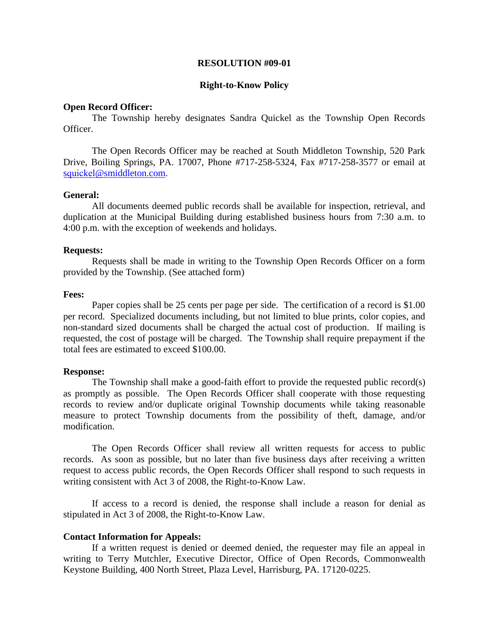### **RESOLUTION #09-01**

### **Right-to-Know Policy**

### **Open Record Officer:**

The Township hereby designates Sandra Quickel as the Township Open Records Officer.

The Open Records Officer may be reached at South Middleton Township, 520 Park Drive, Boiling Springs, PA. 17007, Phone #717-258-5324, Fax #717-258-3577 or email at squickel[@smiddleton.com.](mailto:squickel@smiddleton.com) 

### **General:**

All documents deemed public records shall be available for inspection, retrieval, and duplication at the Municipal Building during established business hours from 7:30 a.m. to 4:00 p.m. with the exception of weekends and holidays.

### **Requests:**

Requests shall be made in writing to the Township Open Records Officer on a form provided by the Township. (See attached form)

# **Fees:**

Paper copies shall be 25 cents per page per side. The certification of a record is \$1.00 per record. Specialized documents including, but not limited to blue prints, color copies, and non-standard sized documents shall be charged the actual cost of production. If mailing is requested, the cost of postage will be charged. The Township shall require prepayment if the total fees are estimated to exceed \$100.00.

#### **Response:**

The Township shall make a good-faith effort to provide the requested public record(s) as promptly as possible. The Open Records Officer shall cooperate with those requesting records to review and/or duplicate original Township documents while taking reasonable measure to protect Township documents from the possibility of theft, damage, and/or modification.

The Open Records Officer shall review all written requests for access to public records. As soon as possible, but no later than five business days after receiving a written request to access public records, the Open Records Officer shall respond to such requests in writing consistent with Act 3 of 2008, the Right-to-Know Law.

If access to a record is denied, the response shall include a reason for denial as stipulated in Act 3 of 2008, the Right-to-Know Law.

# **Contact Information for Appeals:**

If a written request is denied or deemed denied, the requester may file an appeal in writing to Terry Mutchler, Executive Director, Office of Open Records, Commonwealth Keystone Building, 400 North Street, Plaza Level, Harrisburg, PA. 17120-0225.